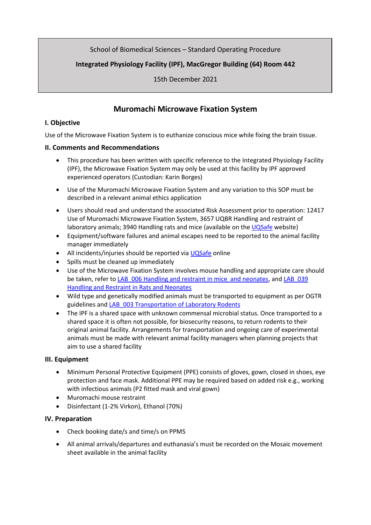## School of Biomedical Sciences – Standard Operating Procedure

# **Integrated Physiology Facility (IPF), MacGregor Building (64) Room 442**

15th December 2021

# **Muromachi Microwave Fixation System**

### **I. Objective**

Use of the Microwave Fixation System is to euthanize conscious mice while fixing the brain tissue.

### **II. Comments and Recommendations**

- This procedure has been written with specific reference to the Integrated Physiology Facility (IPF), the Microwave Fixation System may only be used at this facility by IPF approved experienced operators (Custodian: Karin Borges)
- Use of the Muromachi Microwave Fixation System and any variation to this SOP must be described in a relevant animal ethics application
- Users should read and understand the associated Risk Assessment prior to operation: 12417 Use of Muromachi Microwave Fixation System, 3657 UQBR Handling and restraint of laboratory animals; 3940 Handling rats and mice (available on the [UQSafe](https://staff.uq.edu.au/information-and-services/health-safety-wellbeing/health-safety-workplace/training-induction/staff) website)
- Equipment/software failures and animal escapes need to be reported to the animal facility manager immediately
- All incidents/injuries should be reported vi[a UQSafe](https://staff.uq.edu.au/information-and-services/health-safety-wellbeing/health-safety-workplace/training-induction/staff) online
- Spills must be cleaned up immediately
- Use of the Microwave Fixation System involves mouse handling and appropriate care should be taken, refer t[o LAB\\_006 Handling and restraint in mice and neonates,](https://research.uq.edu.au/files/52512/LAB_006%20Handling%20and%20Restraint%20in%20Mice%20and%20Neonates.pdf) and LAB\_039 [Handling and Restraint in Rats and Neonates](https://research.uq.edu.au/files/52592/LAB_039%20Handling%20and%20Restraint%20in%20Rats%20and%20Neonates.pdf)
- Wild type and genetically modified animals must be transported to equipment as per OGTR guidelines and [LAB\\_003 Transportation of Laboratory Rodents](https://research.uq.edu.au/files/52617/LAB_003%20Transportation%20of%20Laboratory%20Rodents.pdf)
- The IPF is a shared space with unknown commensal microbial status. Once transported to a shared space it is often not possible, for biosecurity reasons, to return rodents to their original animal facility. Arrangements for transportation and ongoing care of experimental animals must be made with relevant animal facility managers when planning projects that aim to use a shared facility

### **III. Equipment**

- Minimum Personal Protective Equipment (PPE) consists of gloves, gown, closed in shoes, eye protection and face mask. Additional PPE may be required based on added risk e.g., working with infectious animals (P2 fitted mask and viral gown)
- Muromachi mouse restraint
- Disinfectant (1-2% Virkon), Ethanol (70%)

### **IV. Preparation**

- Check booking date/s and time/s on PPMS
- All animal arrivals/departures and euthanasia's must be recorded on the Mosaic movement sheet available in the animal facility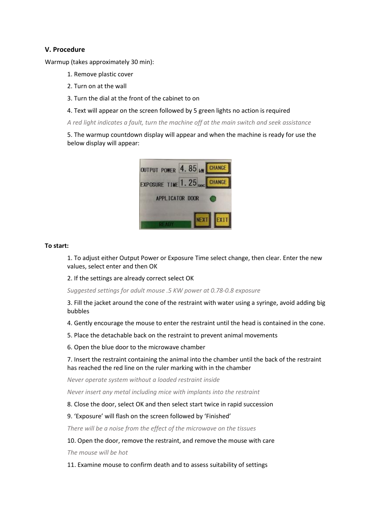### **V. Procedure**

Warmup (takes approximately 30 min):

- 1. Remove plastic cover
- 2. Turn on at the wall
- 3. Turn the dial at the front of the cabinet to on
- 4. Text will appear on the screen followed by 5 green lights no action is required

*A red light indicates a fault, turn the machine off at the main switch and seek assistance*

5. The warmup countdown display will appear and when the machine is ready for use the below display will appear:



#### **To start:**

1. To adjust either Output Power or Exposure Time select change, then clear. Enter the new values, select enter and then OK

2. If the settings are already correct select OK

*Suggested settings for adult mouse .5 KW power at 0.78-0.8 exposure*

3. Fill the jacket around the cone of the restraint with water using a syringe, avoid adding big bubbles

4. Gently encourage the mouse to enter the restraint until the head is contained in the cone.

5. Place the detachable back on the restraint to prevent animal movements

6. Open the blue door to the microwave chamber

7. Insert the restraint containing the animal into the chamber until the back of the restraint has reached the red line on the ruler marking with in the chamber

*Never operate system without a loaded restraint inside*

*Never insert any metal including mice with implants into the restraint*

8. Close the door, select OK and then select start twice in rapid succession

#### 9. 'Exposure' will flash on the screen followed by 'Finished'

*There will be a noise from the effect of the microwave on the tissues*

#### 10. Open the door, remove the restraint, and remove the mouse with care

*The mouse will be hot*

11. Examine mouse to confirm death and to assess suitability of settings